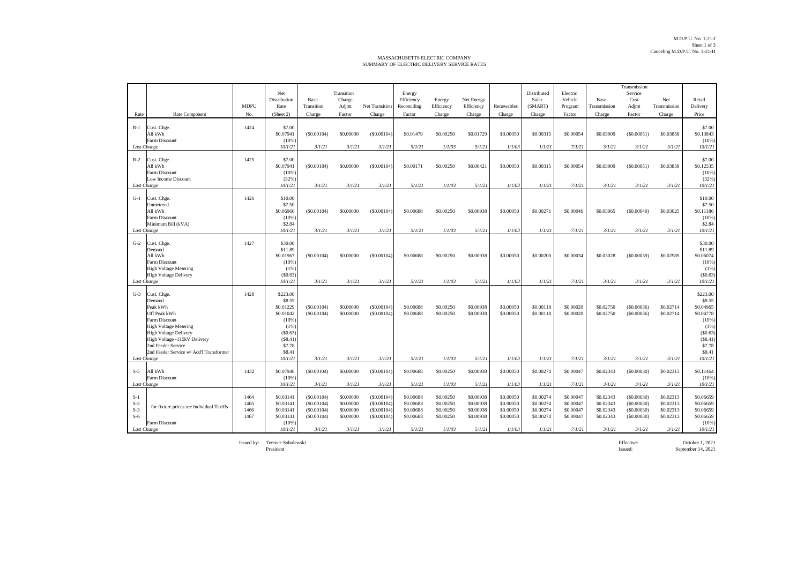## MASSACHUSETTS ELECTRIC COMPANY SUMMARY OF ELECTRIC DELIVERY SERVICE RATES

|                                                 |                                                                                                                                                                                                                                     |                              |                                                                                                                  |                                                                |                                                            |                                                                |                                                            |                                                            |                                                            |                                                            |                                                            |                                                            |                                                            | Transmission                                                   |                                                            |                                                                                                                    |
|-------------------------------------------------|-------------------------------------------------------------------------------------------------------------------------------------------------------------------------------------------------------------------------------------|------------------------------|------------------------------------------------------------------------------------------------------------------|----------------------------------------------------------------|------------------------------------------------------------|----------------------------------------------------------------|------------------------------------------------------------|------------------------------------------------------------|------------------------------------------------------------|------------------------------------------------------------|------------------------------------------------------------|------------------------------------------------------------|------------------------------------------------------------|----------------------------------------------------------------|------------------------------------------------------------|--------------------------------------------------------------------------------------------------------------------|
|                                                 |                                                                                                                                                                                                                                     |                              | Net<br>Distribution                                                                                              | Base                                                           | Transition<br>Charge                                       |                                                                | Energy<br>Efficiency                                       | Energy                                                     | Net Energy                                                 |                                                            | Distributed<br>Solar                                       | Electric<br>Vehicle                                        | Base                                                       | Service<br>Cost                                                | Net                                                        | Retail                                                                                                             |
|                                                 |                                                                                                                                                                                                                                     | <b>MDPU</b>                  | Rate                                                                                                             | Transition                                                     | Adjmt                                                      | <b>Net Transition</b>                                          | Reconciling                                                | Efficiency                                                 | Efficiency                                                 | Renewables                                                 | (SMART)                                                    | Program                                                    | Transmission                                               | Adjmt                                                          | Transmission                                               | Delivery                                                                                                           |
| Rate                                            | Rate Component                                                                                                                                                                                                                      | No.                          | (Sheet 2)                                                                                                        | Charge                                                         | Factor                                                     | Charge                                                         | Factor                                                     | Charge                                                     | Charge                                                     | Charge                                                     | Charge                                                     | Factor                                                     | Charge                                                     | Factor                                                         | Charge                                                     | Price                                                                                                              |
| $R-1$                                           | Cust. Chge.<br>All kWh<br>Farm Discount                                                                                                                                                                                             | 1424                         | \$7.00<br>\$0.07941<br>(10%                                                                                      | (S0.00104)                                                     | \$0.00000                                                  | (S0.00104)                                                     | \$0.01479                                                  | \$0.00250                                                  | \$0.01729                                                  | \$0.00050                                                  | \$0.00315                                                  | \$0.00054                                                  | \$0.03909                                                  | (S0.00051)                                                     | \$0.03858                                                  | \$7.00<br>\$0.13843<br>(10%                                                                                        |
| Last Change                                     |                                                                                                                                                                                                                                     |                              | 10/1/21                                                                                                          | 3/1/21                                                         | 3/1/21                                                     | 3/1/21                                                         | 5/1/21                                                     | 1/1/03                                                     | 5/1/21                                                     | 1/1/03                                                     | 1/1/21                                                     | 7/1/21                                                     | 3/1/21                                                     | 3/1/21                                                         | 3/1/21                                                     | 10/1/21                                                                                                            |
| $R-2$<br>Last Change                            | Cust. Chge.<br>All kWh<br>Farm Discount<br>Low Income Discount                                                                                                                                                                      | 1425                         | \$7.00<br>\$0.07941<br>(10%<br>(32%)<br>10/1/21                                                                  | (S0.00104)<br>3/1/21                                           | \$0,00000<br>3/1/21                                        | (S0.00104)<br>3/1/21                                           | \$0.00171<br>5/1/21                                        | \$0.00250<br>1/1/03                                        | \$0.00421<br>5/1/21                                        | \$0,00050<br>1/1/03                                        | \$0,00315<br>1/1/21                                        | \$0,00054<br>7/1/21                                        | \$0.03909<br>3/1/21                                        | (S0.00051)<br>3/1/21                                           | \$0.03858<br>3/1/21                                        | \$7.00<br>\$0.12535<br>(10%<br>(32%<br>10/1/21                                                                     |
| $G-1$<br>Last Change                            | Cust. Chge.<br>Unmetered<br>All kWh<br>Farm Discount<br>Minimum Bill (kVA)                                                                                                                                                          | 1426                         | \$10.00<br>\$7.50<br>\$0.06960<br>(10%<br>\$2.84<br>10/1/21                                                      | (S0.00104)<br>3/1/21                                           | \$0.00000<br>3/1/21                                        | (S0.00104)<br>3/1/21                                           | \$0.00688<br>5/1/21                                        | \$0.00250<br>1/1/03                                        | \$0.00938<br>5/1/21                                        | \$0.00050<br>1/1/03                                        | \$0,00271<br>1/1/21                                        | \$0,00046<br>7/1/21                                        | \$0.03065<br>3/1/21                                        | (S0.00040)<br>3/1/21                                           | \$0.03025<br>3/1/21                                        | \$10.00<br>\$7.50<br>\$0.11186<br>(10%<br>\$2.84<br>10/1/21                                                        |
| $G-2$                                           | Cust. Chge.<br>Demand<br>All kWh<br>Farm Discount<br><b>High Voltage Metering</b><br><b>High Voltage Delivery</b>                                                                                                                   | 1427                         | \$30.00<br>\$11.89<br>\$0.01967<br>(10%<br>(1% )<br>(S0.63)                                                      | (S0.00104)                                                     | \$0.00000                                                  | (S0.00104)                                                     | \$0.00688                                                  | \$0.00250                                                  | \$0.00938                                                  | \$0,00050                                                  | \$0,00200                                                  | \$0,00034                                                  | \$0.03028                                                  | (S0.00039)                                                     | \$0.02989                                                  | \$30.00<br>\$11.89<br>\$0.06074<br>(10%<br>(1%<br>(\$0.63)                                                         |
| Last Change                                     |                                                                                                                                                                                                                                     |                              | 10/1/21                                                                                                          | 3/1/21                                                         | 3/1/21                                                     | 3/1/21                                                         | 5/1/21                                                     | 1/1/03                                                     | 5/1/21                                                     | 1/1/03                                                     | 1/1/21                                                     | 7/1/21                                                     | 3/1/21                                                     | 3/1/21                                                         | 3/1/21                                                     | 10/1/21                                                                                                            |
| $G-3$<br>Last Change                            | Cust. Chge.<br>Demand<br>Peak kWh<br>Off Peak kWh<br>Farm Discount<br><b>High Voltage Metering</b><br><b>High Voltage Delivery</b><br>High Voltage -115kV Delivery<br>2nd Feeder Service<br>2nd Feeder Service w/ Add'l Transformer | 1428                         | \$223.00<br>\$8.55<br>\$0.01229<br>\$0.01042<br>(10%<br>(1%<br>(S0.63)<br>(S8.41)<br>\$7.78<br>\$8.41<br>10/1/21 | (S0.00104)<br>(S0.00104)<br>3/1/21                             | \$0,00000<br>\$0.00000<br>3/1/21                           | (S0.00104)<br>(S0.00104)<br>3/1/21                             | \$0,00688<br>\$0.00688<br>5/1/21                           | \$0.00250<br>\$0.00250<br>1/1/03                           | \$0,00938<br>\$0.00938<br>5/1/21                           | \$0,00050<br>\$0.00050<br>1/1/03                           | \$0,00118<br>\$0,00118<br>1/1/21                           | \$0,00020<br>\$0.00020<br>7/1/21                           | \$0.02750<br>\$0.02750<br>3/1/21                           | (S0.00036)<br>(S0.00036)<br>3/1/21                             | \$0.02714<br>\$0.02714<br>3/1/21                           | \$223.00<br>\$8.55<br>\$0.04965<br>\$0.04778<br>(10%<br>(1%<br>(\$0.63)<br>(\$8.41)<br>\$7.78<br>\$8.41<br>10/1/21 |
|                                                 |                                                                                                                                                                                                                                     |                              |                                                                                                                  |                                                                |                                                            |                                                                |                                                            |                                                            |                                                            |                                                            |                                                            |                                                            |                                                            |                                                                |                                                            |                                                                                                                    |
| $S-5$<br>Last Change                            | All kWh<br>Farm Discount                                                                                                                                                                                                            | 1432                         | \$0.07946<br>(10%<br>10/1/21                                                                                     | (\$0.00104)<br>3/1/21                                          | \$0.00000<br>3/1/21                                        | (S0.00104)<br>3/1/21                                           | \$0.00688<br>5/1/21                                        | \$0.00250<br>1/1/03                                        | \$0.00938<br>5/1/21                                        | \$0.00050<br>1/1/03                                        | \$0.00274<br>1/1/21                                        | \$0.00047<br>7/1/21                                        | \$0.02343<br>3/1/21                                        | (S0.00030)<br>3/1/21                                           | \$0.02313<br>3/1/21                                        | \$0.11464<br>(10%<br>10/1/21                                                                                       |
| $S-1$<br>$S-2$<br>$S-3$<br>$S-6$<br>Last Change | for fixture prices see Individual Tariffs<br>Farm Discount                                                                                                                                                                          | 1464<br>1465<br>1466<br>1467 | \$0.03141<br>\$0.03141<br>\$0.03141<br>\$0.03141<br>(10%<br>10/1/21                                              | (S0.00104)<br>(S0.00104)<br>(S0.00104)<br>(S0.00104)<br>3/1/21 | \$0,00000<br>\$0.00000<br>\$0,00000<br>\$0.00000<br>3/1/21 | (S0.00104)<br>(S0.00104)<br>(S0.00104)<br>(S0.00104)<br>3/1/21 | \$0,00688<br>\$0.00688<br>\$0,00688<br>\$0,00688<br>5/1/21 | \$0.00250<br>\$0.00250<br>\$0.00250<br>\$0.00250<br>1/1/03 | \$0,00938<br>\$0.00938<br>\$0,00938<br>\$0.00938<br>5/1/21 | \$0,00050<br>\$0,00050<br>\$0,00050<br>\$0,00050<br>1/1/03 | \$0,00274<br>\$0,00274<br>\$0,00274<br>\$0,00274<br>1/1/21 | \$0,00047<br>\$0,00047<br>\$0,00047<br>\$0,00047<br>7/1/21 | \$0.02343<br>\$0.02343<br>\$0.02343<br>\$0.02343<br>3/1/21 | (S0,00030)<br>(S0.00030)<br>(S0,00030)<br>(S0.00030)<br>3/1/21 | \$0.02313<br>\$0.02313<br>\$0.02313<br>\$0.02313<br>3/1/21 | \$0.06659<br>\$0.06659<br>\$0.06659<br>\$0.06659<br>(10%<br>10/1/21                                                |

Issued by: Terence Sobolewski Effective: October 1, 2021

President Issued: September 14, 2021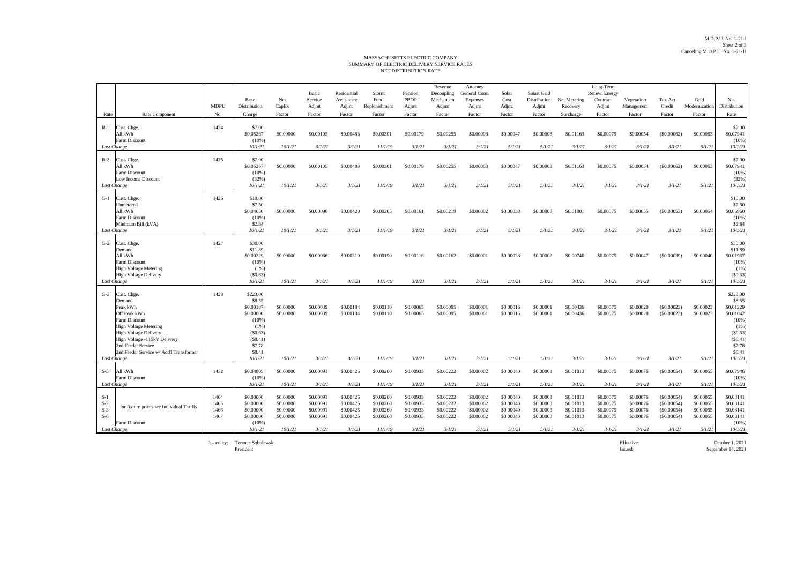## NET DISTRIBUTION RATE MASSACHUSETTS ELECTRIC COMPANY SUMMARY OF ELECTRIC DELIVERY SERVICE RATES

|                |                                                              |              |                        |                        | Basic                  | Residential            | Storm                  | Pension                | Revenue<br>Decoupling  | Attorney<br>General Cons | Solar                  | <b>Smart Grid</b>      |                        | Long-Term<br>Renew. Energy |                        |                          |                        |                        |
|----------------|--------------------------------------------------------------|--------------|------------------------|------------------------|------------------------|------------------------|------------------------|------------------------|------------------------|--------------------------|------------------------|------------------------|------------------------|----------------------------|------------------------|--------------------------|------------------------|------------------------|
|                |                                                              |              | <b>Base</b>            | Net                    | Service                | Assistance             | Fund                   | <b>PBOP</b>            | Mechanism              | <b>Expenses</b>          | Cost                   | Distribution           | Net Metering           | Contract                   | Vegetation             | Tax Act                  | Grid                   | Net                    |
|                |                                                              | <b>MDPU</b>  | Distribution           | CapEx                  | Adjmt                  | Adjmt                  | Replenishment          | Adjmt                  | Adjmt                  | Adjmt                    | Adjmt                  | Adjmt                  | Recovery               | Adjmt                      | Management             | Credit                   | Modernization          | Distribution           |
| Rate           | Rate Component                                               | No.          | Charge                 | Factor                 | Factor                 | Factor                 | Factor                 | Factor                 | Factor                 | Factor                   | Factor                 | Factor                 | Surcharge              | Factor                     | Factor                 | Factor                   | Factor                 | Rate                   |
| $R-1$          | Cust. Chge.                                                  | 1424         | \$7.00                 |                        |                        |                        |                        |                        |                        |                          |                        |                        |                        |                            |                        |                          |                        | \$7.00                 |
|                | All kWh                                                      |              | \$0.05267              | \$0,00000              | \$0,00105              | \$0,00488              | \$0,00301              | \$0,00179              | \$0,00255              | \$0,00003                | \$0,00047              | \$0,00003              | \$0.01163              | \$0,00075                  | \$0,00054              | (S0.00062)               | \$0,00063              | \$0.07941              |
| Last Change    | Farm Discount                                                |              | $(10\%)$<br>10/1/21    | 10/1/21                | 3/1/21                 | 3/1/21                 | 11/1/19                | 3/1/21                 | 3/1/21                 | 3/1/21                   | 5/1/21                 | 5/1/21                 | 3/1/21                 | 3/1/21                     | 3/1/21                 | 3/1/21                   | 5/1/21                 | (10%<br>10/1/21        |
|                |                                                              |              |                        |                        |                        |                        |                        |                        |                        |                          |                        |                        |                        |                            |                        |                          |                        |                        |
| $R-2$          | Cust. Chge.<br>All kWh                                       | 1425         | \$7.00<br>\$0.05267    | \$0,00000              |                        |                        | \$0,00301              | \$0,00179              | \$0,00255              | \$0,00003                | \$0,00047              | \$0,00003              |                        | \$0,00075                  | \$0,00054              | $($ \$0,00062)           | \$0,00063              | \$7.00                 |
|                | <b>Farm Discount</b>                                         |              | (10%                   |                        | \$0,00105              | \$0,00488              |                        |                        |                        |                          |                        |                        | \$0.01163              |                            |                        |                          |                        | \$0.07941<br>(10%      |
|                | Low Income Discount                                          |              | (32%)                  |                        |                        |                        |                        |                        |                        |                          |                        |                        |                        |                            |                        |                          |                        | (32%)                  |
|                | Last Change                                                  |              | 10/1/21                | 10/1/21                | 3/1/21                 | 3/1/21                 | 11/1/19                | 3/1/21                 | 3/1/21                 | 3/1/21                   | 5/1/21                 | 5/1/21                 | 3/1/21                 | 3/1/21                     | 3/1/21                 | 3/1/21                   | 5/1/21                 | 10/1/21                |
| $G-1$          | Cust. Chee                                                   | 1426         | \$10.00                |                        |                        |                        |                        |                        |                        |                          |                        |                        |                        |                            |                        |                          |                        | \$10.00                |
|                | Unmetered                                                    |              | \$7.50                 |                        |                        |                        |                        |                        |                        |                          |                        |                        |                        |                            |                        |                          |                        | \$7.50                 |
|                | All kWh<br><b>Farm Discount</b>                              |              | \$0.04630<br>(10%      | \$0,00000              | \$0,00090              | \$0,00420              | \$0,00265              | \$0,00161              | \$0.00219              | \$0,00002                | \$0,00038              | \$0,00003              | \$0,01001              | \$0,00075                  | \$0.00055              | (S0.00053)               | \$0,00054              | \$0.06960<br>(10%      |
|                | Minimum Bill (kVA)                                           |              | \$2.84                 |                        |                        |                        |                        |                        |                        |                          |                        |                        |                        |                            |                        |                          |                        | \$2.84                 |
|                | Last Change                                                  |              | 10/1/21                | 10/1/21                | 3/1/21                 | 3/1/21                 | 11/1/19                | 3/1/21                 | 3/1/21                 | 3/1/21                   | 5/1/21                 | 5/1/21                 | 3/1/21                 | 3/1/21                     | 3/1/21                 | 3/1/21                   | 5/1/21                 | 10/1/21                |
| $G-2$          | Cust. Chee                                                   | 1427         | \$30.00                |                        |                        |                        |                        |                        |                        |                          |                        |                        |                        |                            |                        |                          |                        | \$30.00                |
|                | Demand                                                       |              | \$11.89                |                        |                        |                        |                        |                        |                        |                          |                        |                        |                        |                            |                        |                          |                        | \$11.89                |
|                | All kWh                                                      |              | \$0.00229              | \$0,00000              | \$0,00066              | \$0,00310              | \$0,00190              | \$0,00116              | \$0.00162              | \$0,00001                | \$0,00028              | \$0,00002              | \$0,00740              | \$0,00075                  | \$0.00047              | (S0.00039)               | \$0,00040              | \$0.01967              |
|                | <b>Farm Discount</b><br><b>High Voltage Metering</b>         |              | $(10\%)$<br>(1%)       |                        |                        |                        |                        |                        |                        |                          |                        |                        |                        |                            |                        |                          |                        | (10%<br>(1%            |
|                | <b>High Voltage Delivery</b>                                 |              | (S0.63)                |                        |                        |                        |                        |                        |                        |                          |                        |                        |                        |                            |                        |                          |                        | (S0.63)                |
| Last Change    |                                                              |              | 10/1/21                | 10/1/21                | 3/1/21                 | 3/1/21                 | 11/1/19                | 3/1/21                 | 3/1/21                 | 3/1/21                   | 5/1/21                 | 5/1/21                 | 3/1/21                 | 3/1/21                     | 3/1/21                 | 3/1/21                   | 5/1/21                 | 10/1/21                |
| $G-3$          | Cust. Chge.                                                  | 1428         | \$223.00               |                        |                        |                        |                        |                        |                        |                          |                        |                        |                        |                            |                        |                          |                        | \$223.00               |
|                | Demand                                                       |              | \$8.55                 |                        |                        |                        |                        |                        |                        |                          |                        |                        |                        |                            |                        |                          |                        | \$8.55                 |
|                | Peak kWh<br>Off Peak kWh                                     |              | \$0,00187<br>\$0.00000 | \$0.00000<br>\$0,00000 | \$0,00039<br>\$0.00039 | \$0,00184<br>\$0.00184 | \$0,00110<br>\$0.00110 | \$0,00065<br>\$0,00065 | \$0,00095<br>\$0.00095 | \$0,00001<br>\$0,00001   | \$0,00016<br>\$0,00016 | \$0,00001<br>\$0.00001 | \$0,00436<br>\$0.00436 | \$0,00075<br>\$0.00075     | \$0,00020<br>\$0.00020 | (S0.00023)<br>(S0.00023) | \$0,00023<br>\$0,00023 | \$0.01229<br>\$0.01042 |
|                | Farm Discount                                                |              | (10%                   |                        |                        |                        |                        |                        |                        |                          |                        |                        |                        |                            |                        |                          |                        | (10%                   |
|                | <b>High Voltage Metering</b>                                 |              | (1%)                   |                        |                        |                        |                        |                        |                        |                          |                        |                        |                        |                            |                        |                          |                        | (1%                    |
|                | <b>High Voltage Delivery</b><br>High Voltage -115kV Delivery |              | (S0.63)<br>(S8.41)     |                        |                        |                        |                        |                        |                        |                          |                        |                        |                        |                            |                        |                          |                        | (S0.63)<br>(S8.41)     |
|                | 2nd Feeder Service                                           |              | \$7.78                 |                        |                        |                        |                        |                        |                        |                          |                        |                        |                        |                            |                        |                          |                        | \$7.78                 |
|                | 2nd Feeder Service w/ Add'l Transformer                      |              | \$8.41                 |                        |                        |                        |                        |                        |                        |                          |                        |                        |                        |                            |                        |                          |                        | \$8.41                 |
|                | Last Change                                                  |              | 10/1/21                | 10/1/21                | 3/1/21                 | 3/1/21                 | 11/1/19                | 3/1/21                 | 3/1/21                 | 3/1/21                   | 5/1/21                 | 5/1/21                 | 3/1/21                 | 3/1/21                     | 3/1/21                 | 3/1/21                   | 5/1/21                 | 10/1/21                |
| $S-5$          | All kWh                                                      | 1432         | \$0.04805              | \$0,00000              | \$0,00091              | \$0.00425              | \$0,00260              | \$0,00933              | \$0.00222              | \$0,00002                | \$0,00040              | \$0,00003              | \$0.01013              | \$0,00075                  | \$0,00076              | (S0.00054)               | \$0,00055              | \$0.07946              |
|                | Farm Discount                                                |              | $(10\%)$               |                        |                        |                        |                        |                        |                        |                          |                        |                        |                        |                            |                        |                          |                        | (10%                   |
|                | Last Change                                                  |              | 10/1/21                | 10/1/21                | 3/1/21                 | 3/1/21                 | 11/1/19                | 3/1/21                 | 3/1/21                 | 3/1/21                   | 5/1/21                 | 5/1/21                 | 3/1/21                 | 3/1/21                     | 3/1/21                 | 3/1/21                   | 5/1/21                 | 10/1/21                |
| $S-1$          |                                                              | 1464         | \$0,00000              | \$0,00000              | \$0,00091              | \$0.00425              | \$0.00260              | \$0,00933              | \$0.00222              | \$0,00002                | \$0,00040              | \$0.00003              | \$0.01013              | \$0.00075                  | \$0.00076              | (S0.00054)               | \$0,00055              | \$0.03141              |
| $S-2$          | for fixture prices see Individual Tariffs                    | 1465         | \$0.00000              | \$0.00000              | \$0.00091              | \$0.00425              | \$0.00260              | \$0.00933              | \$0.00222              | \$0.00002                | \$0.00040              | \$0.00003              | \$0.01013              | \$0.00075                  | \$0.00076              | (S0.00054)               | \$0.00055              | \$0.03141              |
| $S-3$<br>$S-6$ |                                                              | 1466<br>1467 | \$0.00000<br>\$0,00000 | \$0.00000<br>\$0,00000 | \$0.00091<br>\$0,00091 | \$0.00425<br>\$0.00425 | \$0.00260<br>\$0,00260 | \$0.00933<br>\$0,00933 | \$0.00222<br>\$0.00222 | \$0.00002<br>\$0,00002   | \$0.00040<br>\$0,00040 | \$0.00003<br>\$0,00003 | \$0.01013<br>\$0.01013 | \$0.00075<br>\$0,00075     | \$0.00076<br>\$0,00076 | (S0.00054)<br>(S0.00054) | \$0.00055<br>\$0,00055 | \$0.03141<br>\$0.03141 |
|                | Farm Discount                                                |              | $(10\%)$               |                        |                        |                        |                        |                        |                        |                          |                        |                        |                        |                            |                        |                          |                        | (10%                   |
|                | Last Change                                                  |              | 10/1/21                | 10/1/21                | 3/1/21                 | 3/1/21                 | 11/1/19                | 3/1/21                 | 3/1/21                 | 3/1/21                   | 5/1/21                 | 5/1/21                 | 3/1/21                 | 3/1/21                     | 3/1/21                 | 3/1/21                   | 5/1/21                 | 10/1/21                |

Issued by: Terence Sobolewski<br>President

Terence Sobolewski Effective: October 1, 2021 President Issued: September 14, 2021